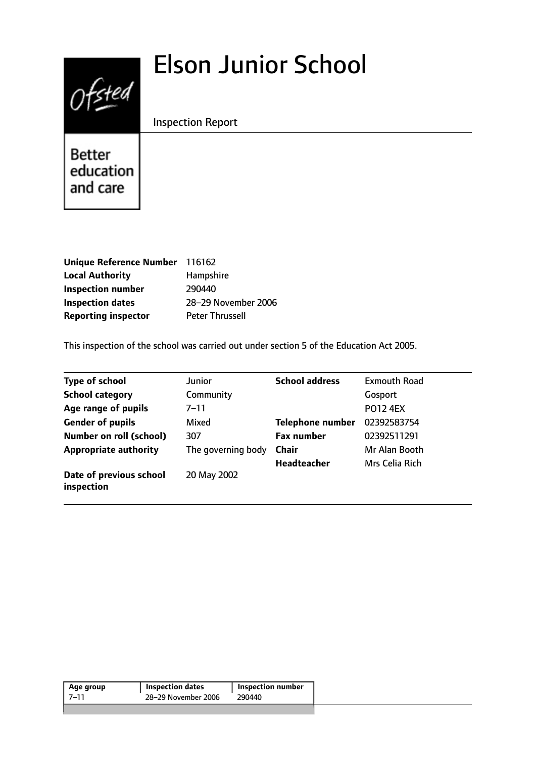# Elson Junior School



Inspection Report

**Better** education and care

| Unique Reference Number 116162 |                        |
|--------------------------------|------------------------|
| <b>Local Authority</b>         | Hampshire              |
| <b>Inspection number</b>       | 290440                 |
| <b>Inspection dates</b>        | 28-29 November 2006    |
| <b>Reporting inspector</b>     | <b>Peter Thrussell</b> |

This inspection of the school was carried out under section 5 of the Education Act 2005.

| <b>Type of school</b>                 | Junior             | <b>School address</b>   | <b>Exmouth Road</b> |
|---------------------------------------|--------------------|-------------------------|---------------------|
| <b>School category</b>                | Community          |                         | Gosport             |
| Age range of pupils                   | 7–11               |                         | <b>PO12 4EX</b>     |
| <b>Gender of pupils</b>               | Mixed              | <b>Telephone number</b> | 02392583754         |
| <b>Number on roll (school)</b>        | 307                | <b>Fax number</b>       | 02392511291         |
| <b>Appropriate authority</b>          | The governing body | <b>Chair</b>            | Mr Alan Booth       |
|                                       |                    | <b>Headteacher</b>      | Mrs Celia Rich      |
| Date of previous school<br>inspection | 20 May 2002        |                         |                     |

| Age group | <b>Inspection dates</b> | <b>Inspection number</b> |
|-----------|-------------------------|--------------------------|
| 7–11      | 28-29 November 2006     | 290440                   |
|           |                         |                          |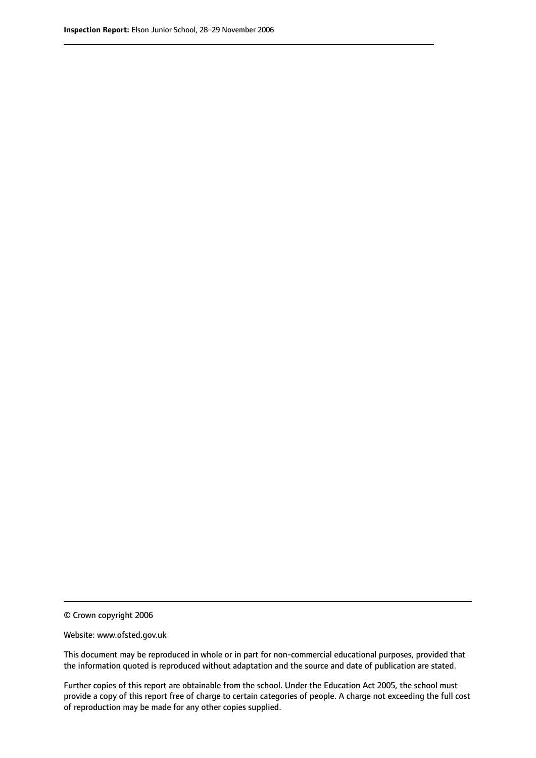© Crown copyright 2006

Website: www.ofsted.gov.uk

This document may be reproduced in whole or in part for non-commercial educational purposes, provided that the information quoted is reproduced without adaptation and the source and date of publication are stated.

Further copies of this report are obtainable from the school. Under the Education Act 2005, the school must provide a copy of this report free of charge to certain categories of people. A charge not exceeding the full cost of reproduction may be made for any other copies supplied.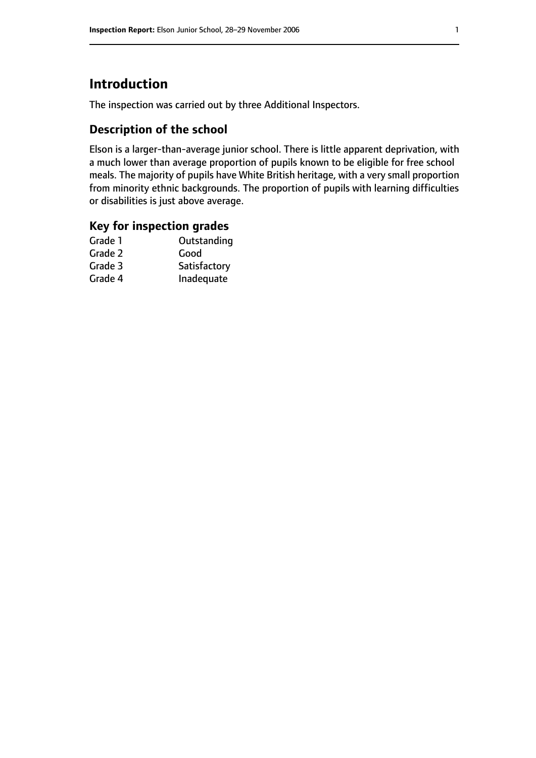## **Introduction**

The inspection was carried out by three Additional Inspectors.

## **Description of the school**

Elson is a larger-than-average junior school. There is little apparent deprivation, with a much lower than average proportion of pupils known to be eligible for free school meals. The majority of pupils have White British heritage, with a very small proportion from minority ethnic backgrounds. The proportion of pupils with learning difficulties or disabilities is just above average.

#### **Key for inspection grades**

| Grade 1 | Outstanding  |
|---------|--------------|
| Grade 2 | Good         |
| Grade 3 | Satisfactory |
| Grade 4 | Inadequate   |
|         |              |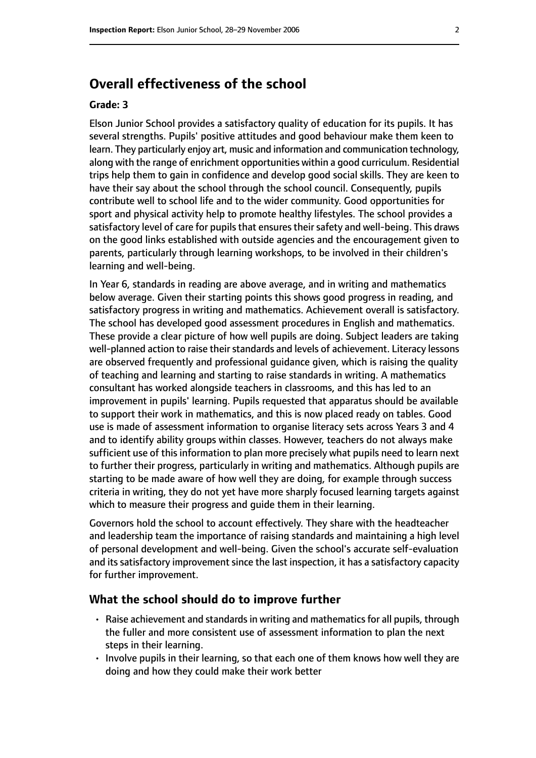## **Overall effectiveness of the school**

#### **Grade: 3**

Elson Junior School provides a satisfactory quality of education for its pupils. It has several strengths. Pupils' positive attitudes and good behaviour make them keen to learn. They particularly enjoy art, music and information and communication technology, along with the range of enrichment opportunities within a good curriculum. Residential trips help them to gain in confidence and develop good social skills. They are keen to have their say about the school through the school council. Consequently, pupils contribute well to school life and to the wider community. Good opportunities for sport and physical activity help to promote healthy lifestyles. The school provides a satisfactory level of care for pupils that ensures their safety and well-being. This draws on the good links established with outside agencies and the encouragement given to parents, particularly through learning workshops, to be involved in their children's learning and well-being.

In Year 6, standards in reading are above average, and in writing and mathematics below average. Given their starting points this shows good progress in reading, and satisfactory progress in writing and mathematics. Achievement overall is satisfactory. The school has developed good assessment procedures in English and mathematics. These provide a clear picture of how well pupils are doing. Subject leaders are taking well-planned action to raise their standards and levels of achievement. Literacy lessons are observed frequently and professional guidance given, which is raising the quality of teaching and learning and starting to raise standards in writing. A mathematics consultant has worked alongside teachers in classrooms, and this has led to an improvement in pupils' learning. Pupils requested that apparatus should be available to support their work in mathematics, and this is now placed ready on tables. Good use is made of assessment information to organise literacy sets across Years 3 and 4 and to identify ability groups within classes. However, teachers do not always make sufficient use of this information to plan more precisely what pupils need to learn next to further their progress, particularly in writing and mathematics. Although pupils are starting to be made aware of how well they are doing, for example through success criteria in writing, they do not yet have more sharply focused learning targets against which to measure their progress and guide them in their learning.

Governors hold the school to account effectively. They share with the headteacher and leadership team the importance of raising standards and maintaining a high level of personal development and well-being. Given the school's accurate self-evaluation and its satisfactory improvement since the last inspection, it has a satisfactory capacity for further improvement.

#### **What the school should do to improve further**

- Raise achievement and standards in writing and mathematics for all pupils, through the fuller and more consistent use of assessment information to plan the next steps in their learning.
- Involve pupils in their learning, so that each one of them knows how well they are doing and how they could make their work better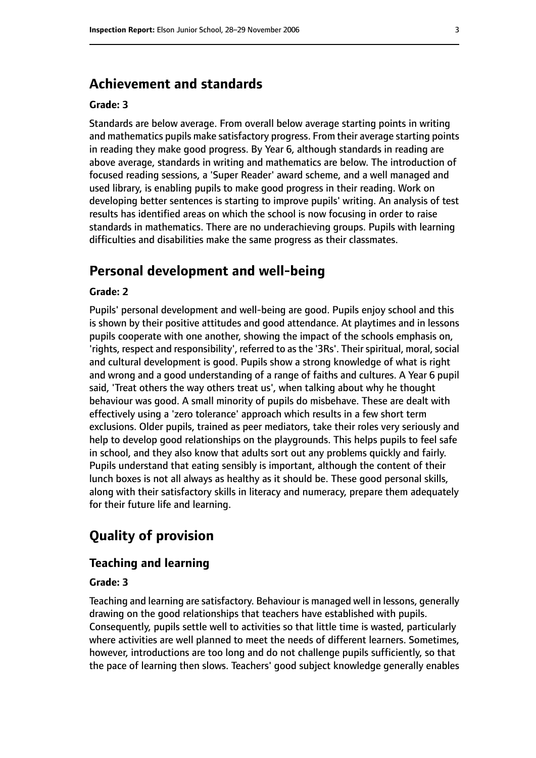## **Achievement and standards**

#### **Grade: 3**

Standards are below average. From overall below average starting points in writing and mathematics pupils make satisfactory progress. From their average starting points in reading they make good progress. By Year 6, although standards in reading are above average, standards in writing and mathematics are below. The introduction of focused reading sessions, a 'Super Reader' award scheme, and a well managed and used library, is enabling pupils to make good progress in their reading. Work on developing better sentences is starting to improve pupils' writing. An analysis of test results has identified areas on which the school is now focusing in order to raise standards in mathematics. There are no underachieving groups. Pupils with learning difficulties and disabilities make the same progress as their classmates.

## **Personal development and well-being**

#### **Grade: 2**

Pupils' personal development and well-being are good. Pupils enjoy school and this is shown by their positive attitudes and good attendance. At playtimes and in lessons pupils cooperate with one another, showing the impact of the schools emphasis on, 'rights, respect and responsibility', referred to as the '3Rs'. Their spiritual, moral, social and cultural development is good. Pupils show a strong knowledge of what is right and wrong and a good understanding of a range of faiths and cultures. A Year 6 pupil said, 'Treat others the way others treat us', when talking about why he thought behaviour was good. A small minority of pupils do misbehave. These are dealt with effectively using a 'zero tolerance' approach which results in a few short term exclusions. Older pupils, trained as peer mediators, take their roles very seriously and help to develop good relationships on the playgrounds. This helps pupils to feel safe in school, and they also know that adults sort out any problems quickly and fairly. Pupils understand that eating sensibly is important, although the content of their lunch boxes is not all always as healthy as it should be. These good personal skills, along with their satisfactory skills in literacy and numeracy, prepare them adequately for their future life and learning.

## **Quality of provision**

#### **Teaching and learning**

#### **Grade: 3**

Teaching and learning are satisfactory. Behaviour is managed well in lessons, generally drawing on the good relationships that teachers have established with pupils. Consequently, pupils settle well to activities so that little time is wasted, particularly where activities are well planned to meet the needs of different learners. Sometimes, however, introductions are too long and do not challenge pupils sufficiently, so that the pace of learning then slows. Teachers' good subject knowledge generally enables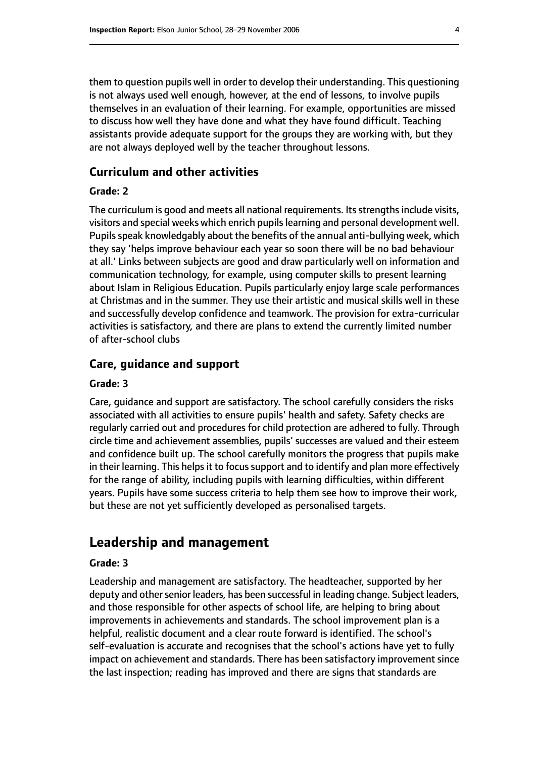them to question pupils well in order to develop their understanding. This questioning is not always used well enough, however, at the end of lessons, to involve pupils themselves in an evaluation of their learning. For example, opportunities are missed to discuss how well they have done and what they have found difficult. Teaching assistants provide adequate support for the groups they are working with, but they are not always deployed well by the teacher throughout lessons.

#### **Curriculum and other activities**

#### **Grade: 2**

The curriculum is good and meets all national requirements. Its strengths include visits, visitors and special weeks which enrich pupils learning and personal development well. Pupils speak knowledgably about the benefits of the annual anti-bullying week, which they say 'helps improve behaviour each year so soon there will be no bad behaviour at all.' Links between subjects are good and draw particularly well on information and communication technology, for example, using computer skills to present learning about Islam in Religious Education. Pupils particularly enjoy large scale performances at Christmas and in the summer. They use their artistic and musical skills well in these and successfully develop confidence and teamwork. The provision for extra-curricular activities is satisfactory, and there are plans to extend the currently limited number of after-school clubs

#### **Care, guidance and support**

#### **Grade: 3**

Care, guidance and support are satisfactory. The school carefully considers the risks associated with all activities to ensure pupils' health and safety. Safety checks are regularly carried out and procedures for child protection are adhered to fully. Through circle time and achievement assemblies, pupils' successes are valued and their esteem and confidence built up. The school carefully monitors the progress that pupils make in their learning. This helps it to focus support and to identify and plan more effectively for the range of ability, including pupils with learning difficulties, within different years. Pupils have some success criteria to help them see how to improve their work, but these are not yet sufficiently developed as personalised targets.

## **Leadership and management**

#### **Grade: 3**

Leadership and management are satisfactory. The headteacher, supported by her deputy and other senior leaders, has been successful in leading change. Subject leaders, and those responsible for other aspects of school life, are helping to bring about improvements in achievements and standards. The school improvement plan is a helpful, realistic document and a clear route forward is identified. The school's self-evaluation is accurate and recognises that the school's actions have yet to fully impact on achievement and standards. There has been satisfactory improvement since the last inspection; reading has improved and there are signs that standards are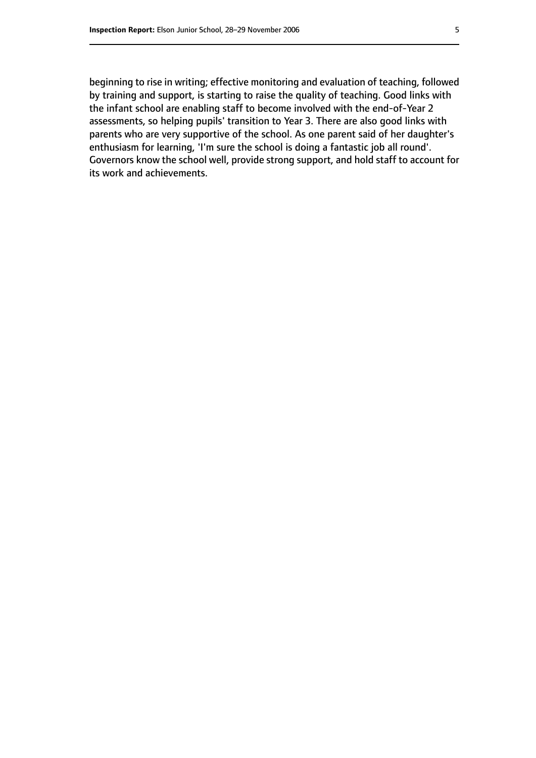beginning to rise in writing; effective monitoring and evaluation of teaching, followed by training and support, is starting to raise the quality of teaching. Good links with the infant school are enabling staff to become involved with the end-of-Year 2 assessments, so helping pupils' transition to Year 3. There are also good links with parents who are very supportive of the school. As one parent said of her daughter's enthusiasm for learning, 'I'm sure the school is doing a fantastic job all round'. Governors know the school well, provide strong support, and hold staff to account for its work and achievements.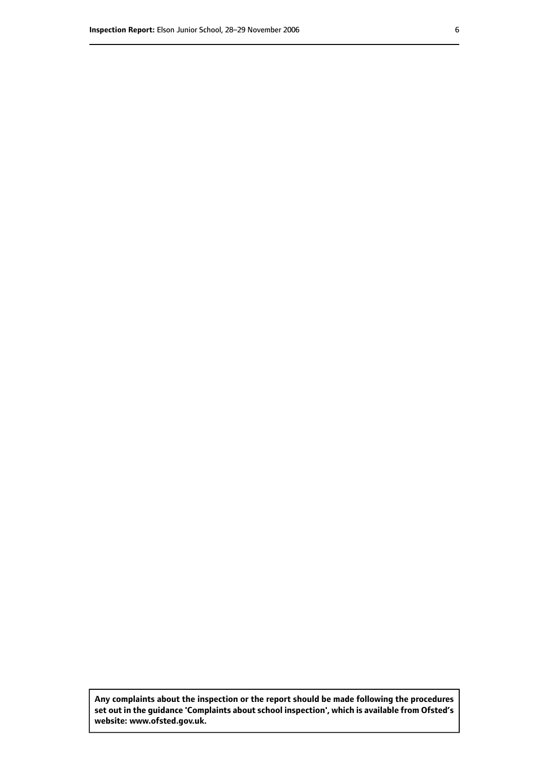**Any complaints about the inspection or the report should be made following the procedures set out inthe guidance 'Complaints about school inspection', whichis available from Ofsted's website: www.ofsted.gov.uk.**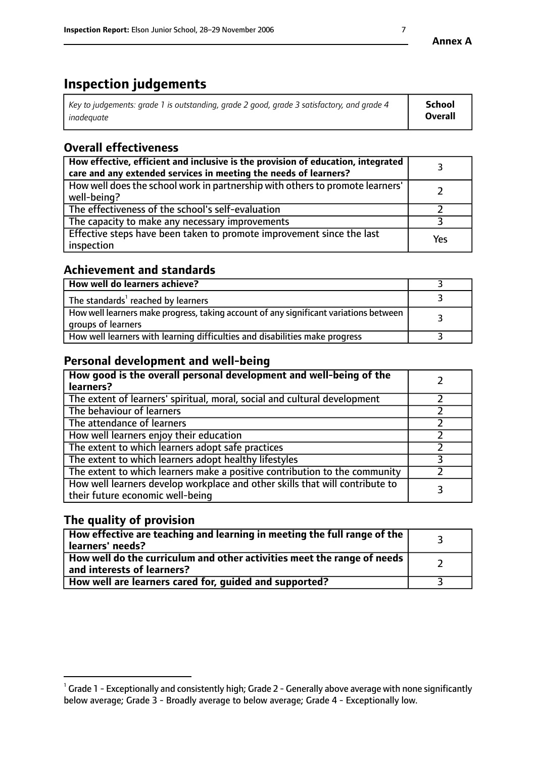## **Inspection judgements**

| $^{\circ}$ Key to judgements: grade 1 is outstanding, grade 2 good, grade 3 satisfactory, and grade 4 $^{\circ}$ | School         |
|------------------------------------------------------------------------------------------------------------------|----------------|
| inadequate                                                                                                       | <b>Overall</b> |

## **Overall effectiveness**

| How effective, efficient and inclusive is the provision of education, integrated<br>care and any extended services in meeting the needs of learners? |     |
|------------------------------------------------------------------------------------------------------------------------------------------------------|-----|
| How well does the school work in partnership with others to promote learners'<br>well-being?                                                         |     |
| The effectiveness of the school's self-evaluation                                                                                                    |     |
| The capacity to make any necessary improvements                                                                                                      |     |
| Effective steps have been taken to promote improvement since the last<br>inspection                                                                  | Yes |

## **Achievement and standards**

| How well do learners achieve?                                                                               |  |
|-------------------------------------------------------------------------------------------------------------|--|
| The standards <sup>1</sup> reached by learners                                                              |  |
| How well learners make progress, taking account of any significant variations between<br>groups of learners |  |
| How well learners with learning difficulties and disabilities make progress                                 |  |

## **Personal development and well-being**

| How good is the overall personal development and well-being of the<br>learners?                                  |   |
|------------------------------------------------------------------------------------------------------------------|---|
| The extent of learners' spiritual, moral, social and cultural development                                        |   |
| The behaviour of learners                                                                                        |   |
| The attendance of learners                                                                                       |   |
| How well learners enjoy their education                                                                          |   |
| The extent to which learners adopt safe practices                                                                |   |
| The extent to which learners adopt healthy lifestyles                                                            |   |
| The extent to which learners make a positive contribution to the community                                       |   |
| How well learners develop workplace and other skills that will contribute to<br>their future economic well-being | 3 |

## **The quality of provision**

| How effective are teaching and learning in meeting the full range of the<br>learners' needs?                        |  |
|---------------------------------------------------------------------------------------------------------------------|--|
| $\mid$ How well do the curriculum and other activities meet the range of needs $\mid$<br>and interests of learners? |  |
| How well are learners cared for, guided and supported?                                                              |  |

 $^1$  Grade 1 - Exceptionally and consistently high; Grade 2 - Generally above average with none significantly below average; Grade 3 - Broadly average to below average; Grade 4 - Exceptionally low.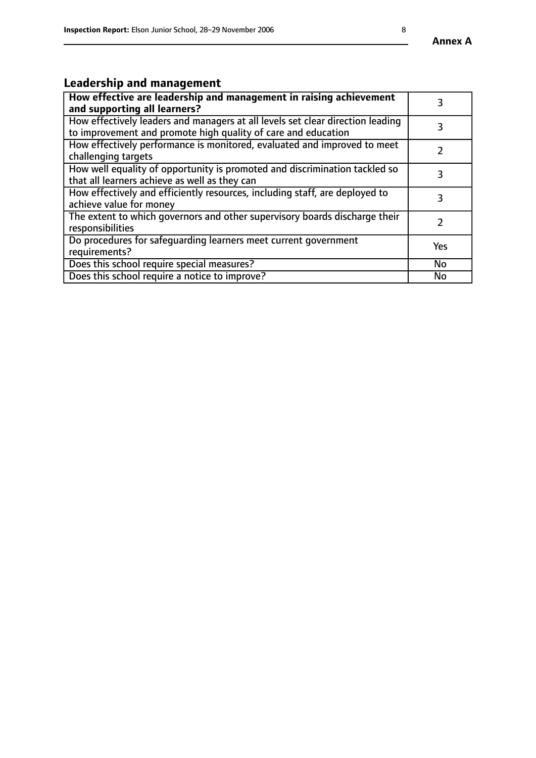## **Leadership and management**

| How effective are leadership and management in raising achievement<br>and supporting all learners?                                              |           |
|-------------------------------------------------------------------------------------------------------------------------------------------------|-----------|
| How effectively leaders and managers at all levels set clear direction leading<br>to improvement and promote high quality of care and education |           |
| How effectively performance is monitored, evaluated and improved to meet<br>challenging targets                                                 |           |
| How well equality of opportunity is promoted and discrimination tackled so<br>that all learners achieve as well as they can                     |           |
| How effectively and efficiently resources, including staff, are deployed to<br>achieve value for money                                          | З         |
| The extent to which governors and other supervisory boards discharge their<br>responsibilities                                                  |           |
| Do procedures for safequarding learners meet current government<br>requirements?                                                                | Yes       |
| Does this school require special measures?                                                                                                      | No        |
| Does this school require a notice to improve?                                                                                                   | <b>No</b> |